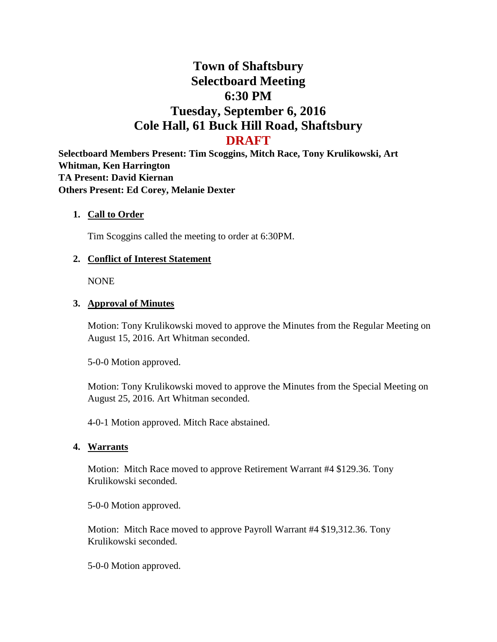# **Town of Shaftsbury Selectboard Meeting 6:30 PM Tuesday, September 6, 2016 Cole Hall, 61 Buck Hill Road, Shaftsbury DRAFT**

**Selectboard Members Present: Tim Scoggins, Mitch Race, Tony Krulikowski, Art Whitman, Ken Harrington TA Present: David Kiernan Others Present: Ed Corey, Melanie Dexter**

#### **1. Call to Order**

Tim Scoggins called the meeting to order at 6:30PM.

#### **2. Conflict of Interest Statement**

NONE

#### **3. Approval of Minutes**

Motion: Tony Krulikowski moved to approve the Minutes from the Regular Meeting on August 15, 2016. Art Whitman seconded.

5-0-0 Motion approved.

Motion: Tony Krulikowski moved to approve the Minutes from the Special Meeting on August 25, 2016. Art Whitman seconded.

4-0-1 Motion approved. Mitch Race abstained.

#### **4. Warrants**

Motion: Mitch Race moved to approve Retirement Warrant #4 \$129.36. Tony Krulikowski seconded.

5-0-0 Motion approved.

Motion: Mitch Race moved to approve Payroll Warrant #4 \$19,312.36. Tony Krulikowski seconded.

5-0-0 Motion approved.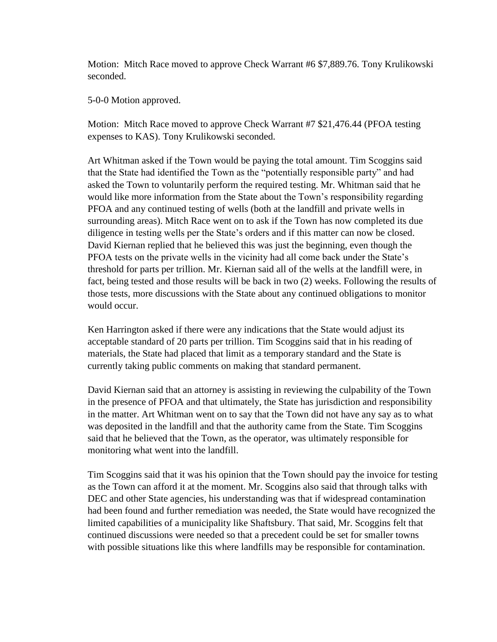Motion: Mitch Race moved to approve Check Warrant #6 \$7,889.76. Tony Krulikowski seconded.

5-0-0 Motion approved.

Motion: Mitch Race moved to approve Check Warrant #7 \$21,476.44 (PFOA testing expenses to KAS). Tony Krulikowski seconded.

Art Whitman asked if the Town would be paying the total amount. Tim Scoggins said that the State had identified the Town as the "potentially responsible party" and had asked the Town to voluntarily perform the required testing. Mr. Whitman said that he would like more information from the State about the Town's responsibility regarding PFOA and any continued testing of wells (both at the landfill and private wells in surrounding areas). Mitch Race went on to ask if the Town has now completed its due diligence in testing wells per the State's orders and if this matter can now be closed. David Kiernan replied that he believed this was just the beginning, even though the PFOA tests on the private wells in the vicinity had all come back under the State's threshold for parts per trillion. Mr. Kiernan said all of the wells at the landfill were, in fact, being tested and those results will be back in two (2) weeks. Following the results of those tests, more discussions with the State about any continued obligations to monitor would occur.

Ken Harrington asked if there were any indications that the State would adjust its acceptable standard of 20 parts per trillion. Tim Scoggins said that in his reading of materials, the State had placed that limit as a temporary standard and the State is currently taking public comments on making that standard permanent.

David Kiernan said that an attorney is assisting in reviewing the culpability of the Town in the presence of PFOA and that ultimately, the State has jurisdiction and responsibility in the matter. Art Whitman went on to say that the Town did not have any say as to what was deposited in the landfill and that the authority came from the State. Tim Scoggins said that he believed that the Town, as the operator, was ultimately responsible for monitoring what went into the landfill.

Tim Scoggins said that it was his opinion that the Town should pay the invoice for testing as the Town can afford it at the moment. Mr. Scoggins also said that through talks with DEC and other State agencies, his understanding was that if widespread contamination had been found and further remediation was needed, the State would have recognized the limited capabilities of a municipality like Shaftsbury. That said, Mr. Scoggins felt that continued discussions were needed so that a precedent could be set for smaller towns with possible situations like this where landfills may be responsible for contamination.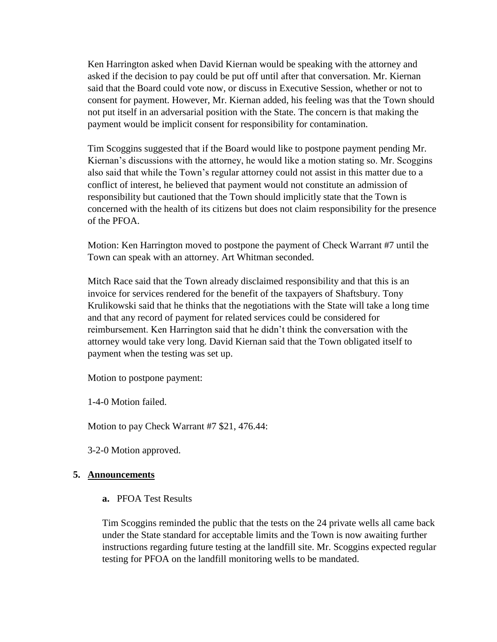Ken Harrington asked when David Kiernan would be speaking with the attorney and asked if the decision to pay could be put off until after that conversation. Mr. Kiernan said that the Board could vote now, or discuss in Executive Session, whether or not to consent for payment. However, Mr. Kiernan added, his feeling was that the Town should not put itself in an adversarial position with the State. The concern is that making the payment would be implicit consent for responsibility for contamination.

Tim Scoggins suggested that if the Board would like to postpone payment pending Mr. Kiernan's discussions with the attorney, he would like a motion stating so. Mr. Scoggins also said that while the Town's regular attorney could not assist in this matter due to a conflict of interest, he believed that payment would not constitute an admission of responsibility but cautioned that the Town should implicitly state that the Town is concerned with the health of its citizens but does not claim responsibility for the presence of the PFOA.

Motion: Ken Harrington moved to postpone the payment of Check Warrant #7 until the Town can speak with an attorney. Art Whitman seconded.

Mitch Race said that the Town already disclaimed responsibility and that this is an invoice for services rendered for the benefit of the taxpayers of Shaftsbury. Tony Krulikowski said that he thinks that the negotiations with the State will take a long time and that any record of payment for related services could be considered for reimbursement. Ken Harrington said that he didn't think the conversation with the attorney would take very long. David Kiernan said that the Town obligated itself to payment when the testing was set up.

Motion to postpone payment:

1-4-0 Motion failed.

Motion to pay Check Warrant #7 \$21, 476.44:

3-2-0 Motion approved.

#### **5. Announcements**

**a.** PFOA Test Results

Tim Scoggins reminded the public that the tests on the 24 private wells all came back under the State standard for acceptable limits and the Town is now awaiting further instructions regarding future testing at the landfill site. Mr. Scoggins expected regular testing for PFOA on the landfill monitoring wells to be mandated.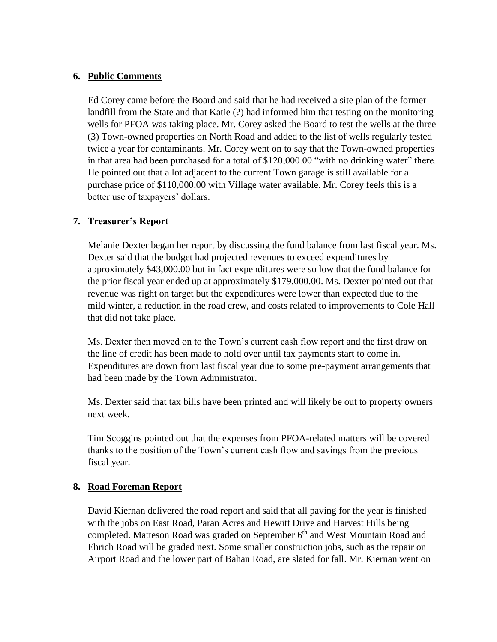# **6. Public Comments**

Ed Corey came before the Board and said that he had received a site plan of the former landfill from the State and that Katie (?) had informed him that testing on the monitoring wells for PFOA was taking place. Mr. Corey asked the Board to test the wells at the three (3) Town-owned properties on North Road and added to the list of wells regularly tested twice a year for contaminants. Mr. Corey went on to say that the Town-owned properties in that area had been purchased for a total of \$120,000.00 "with no drinking water" there. He pointed out that a lot adjacent to the current Town garage is still available for a purchase price of \$110,000.00 with Village water available. Mr. Corey feels this is a better use of taxpayers' dollars.

# **7. Treasurer's Report**

Melanie Dexter began her report by discussing the fund balance from last fiscal year. Ms. Dexter said that the budget had projected revenues to exceed expenditures by approximately \$43,000.00 but in fact expenditures were so low that the fund balance for the prior fiscal year ended up at approximately \$179,000.00. Ms. Dexter pointed out that revenue was right on target but the expenditures were lower than expected due to the mild winter, a reduction in the road crew, and costs related to improvements to Cole Hall that did not take place.

Ms. Dexter then moved on to the Town's current cash flow report and the first draw on the line of credit has been made to hold over until tax payments start to come in. Expenditures are down from last fiscal year due to some pre-payment arrangements that had been made by the Town Administrator.

Ms. Dexter said that tax bills have been printed and will likely be out to property owners next week.

Tim Scoggins pointed out that the expenses from PFOA-related matters will be covered thanks to the position of the Town's current cash flow and savings from the previous fiscal year.

# **8. Road Foreman Report**

David Kiernan delivered the road report and said that all paving for the year is finished with the jobs on East Road, Paran Acres and Hewitt Drive and Harvest Hills being completed. Matteson Road was graded on September 6<sup>th</sup> and West Mountain Road and Ehrich Road will be graded next. Some smaller construction jobs, such as the repair on Airport Road and the lower part of Bahan Road, are slated for fall. Mr. Kiernan went on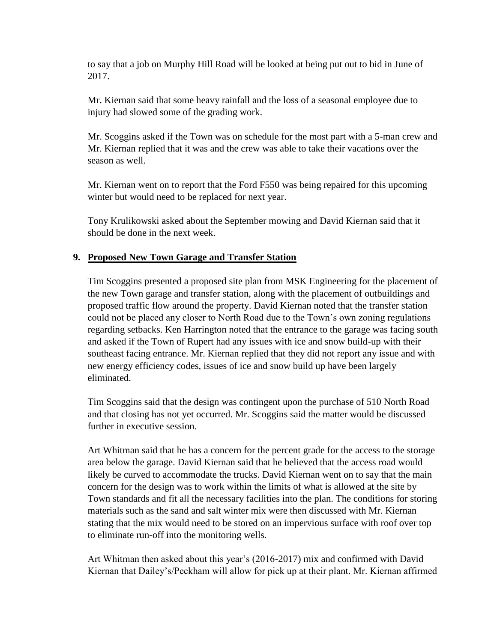to say that a job on Murphy Hill Road will be looked at being put out to bid in June of 2017.

Mr. Kiernan said that some heavy rainfall and the loss of a seasonal employee due to injury had slowed some of the grading work.

Mr. Scoggins asked if the Town was on schedule for the most part with a 5-man crew and Mr. Kiernan replied that it was and the crew was able to take their vacations over the season as well.

Mr. Kiernan went on to report that the Ford F550 was being repaired for this upcoming winter but would need to be replaced for next year.

Tony Krulikowski asked about the September mowing and David Kiernan said that it should be done in the next week.

# **9. Proposed New Town Garage and Transfer Station**

Tim Scoggins presented a proposed site plan from MSK Engineering for the placement of the new Town garage and transfer station, along with the placement of outbuildings and proposed traffic flow around the property. David Kiernan noted that the transfer station could not be placed any closer to North Road due to the Town's own zoning regulations regarding setbacks. Ken Harrington noted that the entrance to the garage was facing south and asked if the Town of Rupert had any issues with ice and snow build-up with their southeast facing entrance. Mr. Kiernan replied that they did not report any issue and with new energy efficiency codes, issues of ice and snow build up have been largely eliminated.

Tim Scoggins said that the design was contingent upon the purchase of 510 North Road and that closing has not yet occurred. Mr. Scoggins said the matter would be discussed further in executive session.

Art Whitman said that he has a concern for the percent grade for the access to the storage area below the garage. David Kiernan said that he believed that the access road would likely be curved to accommodate the trucks. David Kiernan went on to say that the main concern for the design was to work within the limits of what is allowed at the site by Town standards and fit all the necessary facilities into the plan. The conditions for storing materials such as the sand and salt winter mix were then discussed with Mr. Kiernan stating that the mix would need to be stored on an impervious surface with roof over top to eliminate run-off into the monitoring wells.

Art Whitman then asked about this year's (2016-2017) mix and confirmed with David Kiernan that Dailey's/Peckham will allow for pick up at their plant. Mr. Kiernan affirmed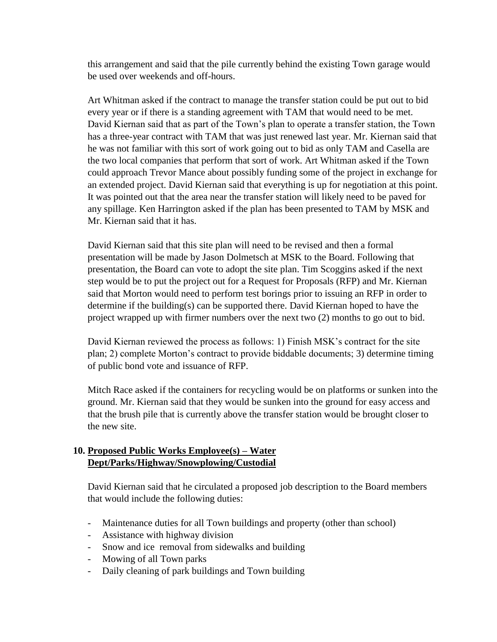this arrangement and said that the pile currently behind the existing Town garage would be used over weekends and off-hours.

Art Whitman asked if the contract to manage the transfer station could be put out to bid every year or if there is a standing agreement with TAM that would need to be met. David Kiernan said that as part of the Town's plan to operate a transfer station, the Town has a three-year contract with TAM that was just renewed last year. Mr. Kiernan said that he was not familiar with this sort of work going out to bid as only TAM and Casella are the two local companies that perform that sort of work. Art Whitman asked if the Town could approach Trevor Mance about possibly funding some of the project in exchange for an extended project. David Kiernan said that everything is up for negotiation at this point. It was pointed out that the area near the transfer station will likely need to be paved for any spillage. Ken Harrington asked if the plan has been presented to TAM by MSK and Mr. Kiernan said that it has.

David Kiernan said that this site plan will need to be revised and then a formal presentation will be made by Jason Dolmetsch at MSK to the Board. Following that presentation, the Board can vote to adopt the site plan. Tim Scoggins asked if the next step would be to put the project out for a Request for Proposals (RFP) and Mr. Kiernan said that Morton would need to perform test borings prior to issuing an RFP in order to determine if the building(s) can be supported there. David Kiernan hoped to have the project wrapped up with firmer numbers over the next two (2) months to go out to bid.

David Kiernan reviewed the process as follows: 1) Finish MSK's contract for the site plan; 2) complete Morton's contract to provide biddable documents; 3) determine timing of public bond vote and issuance of RFP.

Mitch Race asked if the containers for recycling would be on platforms or sunken into the ground. Mr. Kiernan said that they would be sunken into the ground for easy access and that the brush pile that is currently above the transfer station would be brought closer to the new site.

# **10. Proposed Public Works Employee(s) – Water Dept/Parks/Highway/Snowplowing/Custodial**

David Kiernan said that he circulated a proposed job description to the Board members that would include the following duties:

- Maintenance duties for all Town buildings and property (other than school)
- Assistance with highway division
- Snow and ice removal from sidewalks and building
- Mowing of all Town parks
- Daily cleaning of park buildings and Town building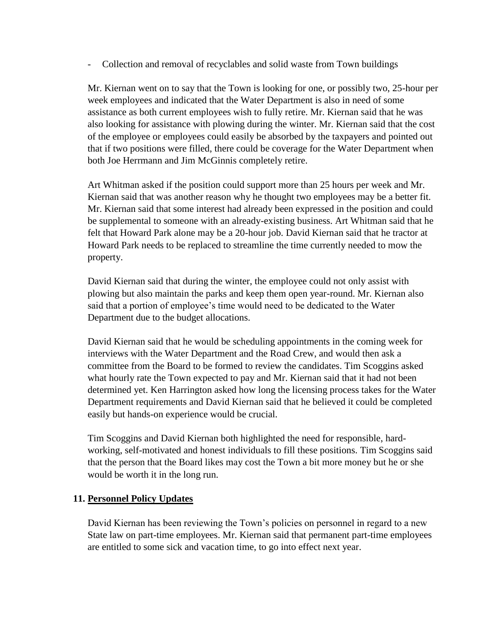- Collection and removal of recyclables and solid waste from Town buildings

Mr. Kiernan went on to say that the Town is looking for one, or possibly two, 25-hour per week employees and indicated that the Water Department is also in need of some assistance as both current employees wish to fully retire. Mr. Kiernan said that he was also looking for assistance with plowing during the winter. Mr. Kiernan said that the cost of the employee or employees could easily be absorbed by the taxpayers and pointed out that if two positions were filled, there could be coverage for the Water Department when both Joe Herrmann and Jim McGinnis completely retire.

Art Whitman asked if the position could support more than 25 hours per week and Mr. Kiernan said that was another reason why he thought two employees may be a better fit. Mr. Kiernan said that some interest had already been expressed in the position and could be supplemental to someone with an already-existing business. Art Whitman said that he felt that Howard Park alone may be a 20-hour job. David Kiernan said that he tractor at Howard Park needs to be replaced to streamline the time currently needed to mow the property.

David Kiernan said that during the winter, the employee could not only assist with plowing but also maintain the parks and keep them open year-round. Mr. Kiernan also said that a portion of employee's time would need to be dedicated to the Water Department due to the budget allocations.

David Kiernan said that he would be scheduling appointments in the coming week for interviews with the Water Department and the Road Crew, and would then ask a committee from the Board to be formed to review the candidates. Tim Scoggins asked what hourly rate the Town expected to pay and Mr. Kiernan said that it had not been determined yet. Ken Harrington asked how long the licensing process takes for the Water Department requirements and David Kiernan said that he believed it could be completed easily but hands-on experience would be crucial.

Tim Scoggins and David Kiernan both highlighted the need for responsible, hardworking, self-motivated and honest individuals to fill these positions. Tim Scoggins said that the person that the Board likes may cost the Town a bit more money but he or she would be worth it in the long run.

# **11. Personnel Policy Updates**

David Kiernan has been reviewing the Town's policies on personnel in regard to a new State law on part-time employees. Mr. Kiernan said that permanent part-time employees are entitled to some sick and vacation time, to go into effect next year.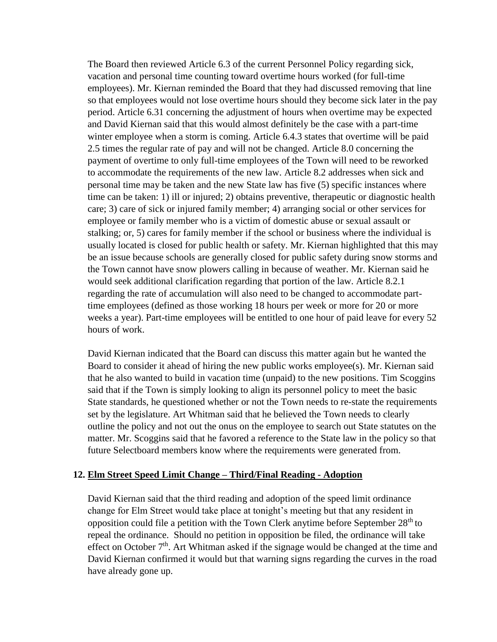The Board then reviewed Article 6.3 of the current Personnel Policy regarding sick, vacation and personal time counting toward overtime hours worked (for full-time employees). Mr. Kiernan reminded the Board that they had discussed removing that line so that employees would not lose overtime hours should they become sick later in the pay period. Article 6.31 concerning the adjustment of hours when overtime may be expected and David Kiernan said that this would almost definitely be the case with a part-time winter employee when a storm is coming. Article 6.4.3 states that overtime will be paid 2.5 times the regular rate of pay and will not be changed. Article 8.0 concerning the payment of overtime to only full-time employees of the Town will need to be reworked to accommodate the requirements of the new law. Article 8.2 addresses when sick and personal time may be taken and the new State law has five (5) specific instances where time can be taken: 1) ill or injured; 2) obtains preventive, therapeutic or diagnostic health care; 3) care of sick or injured family member; 4) arranging social or other services for employee or family member who is a victim of domestic abuse or sexual assault or stalking; or, 5) cares for family member if the school or business where the individual is usually located is closed for public health or safety. Mr. Kiernan highlighted that this may be an issue because schools are generally closed for public safety during snow storms and the Town cannot have snow plowers calling in because of weather. Mr. Kiernan said he would seek additional clarification regarding that portion of the law. Article 8.2.1 regarding the rate of accumulation will also need to be changed to accommodate parttime employees (defined as those working 18 hours per week or more for 20 or more weeks a year). Part-time employees will be entitled to one hour of paid leave for every 52 hours of work.

David Kiernan indicated that the Board can discuss this matter again but he wanted the Board to consider it ahead of hiring the new public works employee(s). Mr. Kiernan said that he also wanted to build in vacation time (unpaid) to the new positions. Tim Scoggins said that if the Town is simply looking to align its personnel policy to meet the basic State standards, he questioned whether or not the Town needs to re-state the requirements set by the legislature. Art Whitman said that he believed the Town needs to clearly outline the policy and not out the onus on the employee to search out State statutes on the matter. Mr. Scoggins said that he favored a reference to the State law in the policy so that future Selectboard members know where the requirements were generated from.

#### **12. Elm Street Speed Limit Change – Third/Final Reading - Adoption**

David Kiernan said that the third reading and adoption of the speed limit ordinance change for Elm Street would take place at tonight's meeting but that any resident in opposition could file a petition with the Town Clerk anytime before September  $28<sup>th</sup>$  to repeal the ordinance. Should no petition in opposition be filed, the ordinance will take effect on October 7<sup>th</sup>. Art Whitman asked if the signage would be changed at the time and David Kiernan confirmed it would but that warning signs regarding the curves in the road have already gone up.